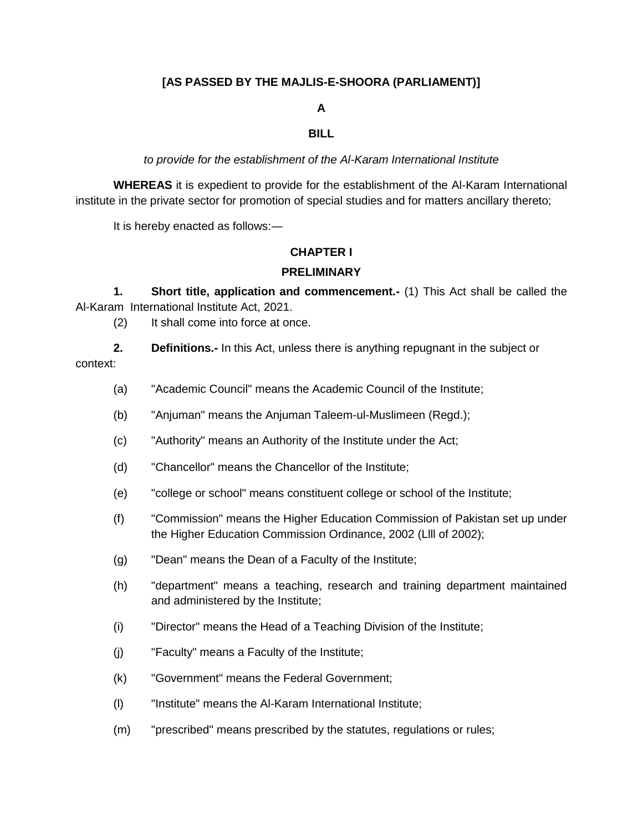### **[AS PASSED BY THE MAJLIS-E-SHOORA (PARLIAMENT)]**

#### **A**

#### **BILL**

*to provide for the establishment of the Al-Karam International Institute*

**WHEREAS** it is expedient to provide for the establishment of the Al-Karam International institute in the private sector for promotion of special studies and for matters ancillary thereto;

It is hereby enacted as follows:―

#### **CHAPTER I**

#### **PRELIMINARY**

**1. Short title, application and commencement.-** (1) This Act shall be called the Al-Karam International Institute Act, 2021.

(2) It shall come into force at once.

- **2. Definitions.-** In this Act, unless there is anything repugnant in the subject or context:
	- (a) "Academic Council" means the Academic Council of the Institute;
	- (b) "Anjuman" means the Anjuman Taleem-ul-Muslimeen (Regd.);
	- (c) "Authority" means an Authority of the Institute under the Act;
	- (d) "Chancellor" means the Chancellor of the Institute;
	- (e) "college or school" means constituent college or school of the Institute;
	- (f) "Commission" means the Higher Education Commission of Pakistan set up under the Higher Education Commission Ordinance, 2002 (Llll of 2002);
	- (g) "Dean" means the Dean of a Faculty of the Institute;
	- (h) "department" means a teaching, research and training department maintained and administered by the Institute;
	- (i) "Director" means the Head of a Teaching Division of the Institute;
	- (j) "Faculty" means a Faculty of the Institute;
	- (k) "Government" means the Federal Government;
	- (l) "Institute" means the Al-Karam International Institute;
	- (m) "prescribed" means prescribed by the statutes, regulations or rules;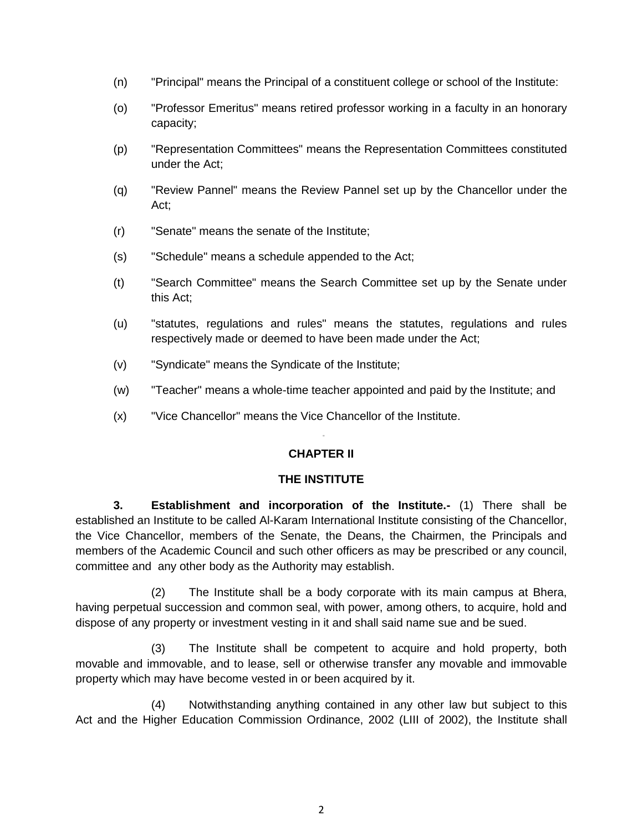- (n) "Principal" means the Principal of a constituent college or school of the Institute:
- (o) "Professor Emeritus" means retired professor working in a faculty in an honorary capacity;
- (p) "Representation Committees" means the Representation Committees constituted under the Act;
- (q) "Review Pannel" means the Review Pannel set up by the Chancellor under the Act;
- (r) "Senate" means the senate of the Institute;
- (s) "Schedule" means a schedule appended to the Act;
- (t) "Search Committee" means the Search Committee set up by the Senate under this Act;
- (u) "statutes, regulations and rules" means the statutes, regulations and rules respectively made or deemed to have been made under the Act;
- (v) "Syndicate" means the Syndicate of the Institute;

 $\mathcal{L}[\mathcal{L}(\mathcal{L}(\mathcal{L}(\mathcal{L}(\mathcal{L}(\mathcal{L}(\mathcal{L}(\mathcal{L}(\mathcal{L}(\mathcal{L}(\mathcal{L}(\mathcal{L}(\mathcal{L}(\mathcal{L}(\mathcal{L}(\mathcal{L}(\mathcal{L}(\mathcal{L}(\mathcal{L}(\mathcal{L}(\mathcal{L}(\mathcal{L}(\mathcal{L}(\mathcal{L}(\mathcal{L}(\mathcal{L}(\mathcal{L}(\mathcal{L}(\mathcal{L}(\mathcal{L}(\mathcal{L}(\mathcal{L}(\mathcal{L}(\mathcal{L}(\mathcal{L}(\mathcal{$ 

- (w) "Teacher" means a whole-time teacher appointed and paid by the Institute; and
- (x) "Vice Chancellor" means the Vice Chancellor of the Institute.

## **CHAPTER II**

#### **THE INSTITUTE**

**3. Establishment and incorporation of the Institute.-** (1) There shall be established an Institute to be called Al-Karam International Institute consisting of the Chancellor, the Vice Chancellor, members of the Senate, the Deans, the Chairmen, the Principals and members of the Academic Council and such other officers as may be prescribed or any council, committee and any other body as the Authority may establish.

(2) The Institute shall be a body corporate with its main campus at Bhera, having perpetual succession and common seal, with power, among others, to acquire, hold and dispose of any property or investment vesting in it and shall said name sue and be sued.

(3) The Institute shall be competent to acquire and hold property, both movable and immovable, and to lease, sell or otherwise transfer any movable and immovable property which may have become vested in or been acquired by it.

(4) Notwithstanding anything contained in any other law but subject to this Act and the Higher Education Commission Ordinance, 2002 (LIII of 2002), the Institute shall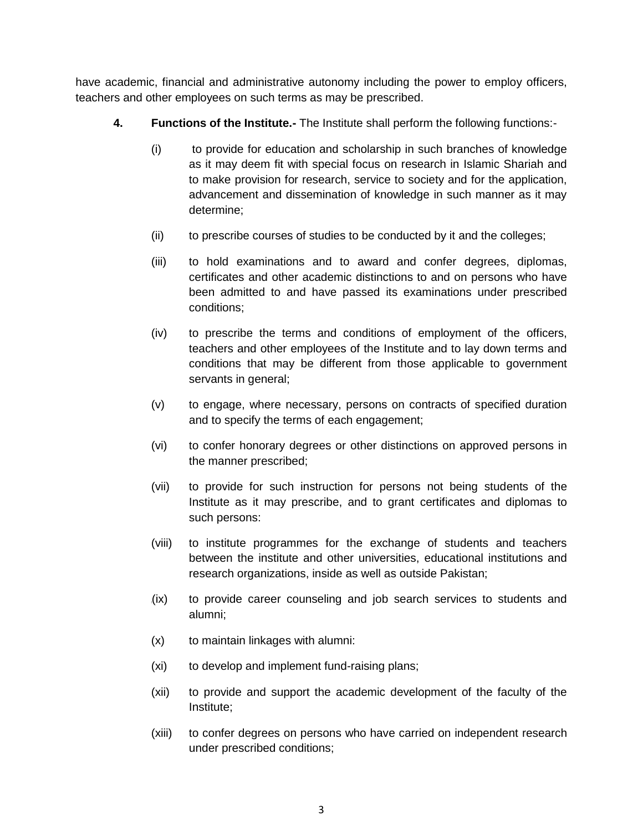have academic, financial and administrative autonomy including the power to employ officers, teachers and other employees on such terms as may be prescribed.

- **4. Functions of the Institute.-** The Institute shall perform the following functions:-
	- (i) to provide for education and scholarship in such branches of knowledge as it may deem fit with special focus on research in Islamic Shariah and to make provision for research, service to society and for the application, advancement and dissemination of knowledge in such manner as it may determine;
	- (ii) to prescribe courses of studies to be conducted by it and the colleges;
	- (iii) to hold examinations and to award and confer degrees, diplomas, certificates and other academic distinctions to and on persons who have been admitted to and have passed its examinations under prescribed conditions;
	- (iv) to prescribe the terms and conditions of employment of the officers, teachers and other employees of the Institute and to lay down terms and conditions that may be different from those applicable to government servants in general;
	- (v) to engage, where necessary, persons on contracts of specified duration and to specify the terms of each engagement;
	- (vi) to confer honorary degrees or other distinctions on approved persons in the manner prescribed;
	- (vii) to provide for such instruction for persons not being students of the Institute as it may prescribe, and to grant certificates and diplomas to such persons:
	- (viii) to institute programmes for the exchange of students and teachers between the institute and other universities, educational institutions and research organizations, inside as well as outside Pakistan;
	- (ix) to provide career counseling and job search services to students and alumni;
	- (x) to maintain linkages with alumni:
	- (xi) to develop and implement fund-raising plans;
	- (xii) to provide and support the academic development of the faculty of the Institute;
	- (xiii) to confer degrees on persons who have carried on independent research under prescribed conditions;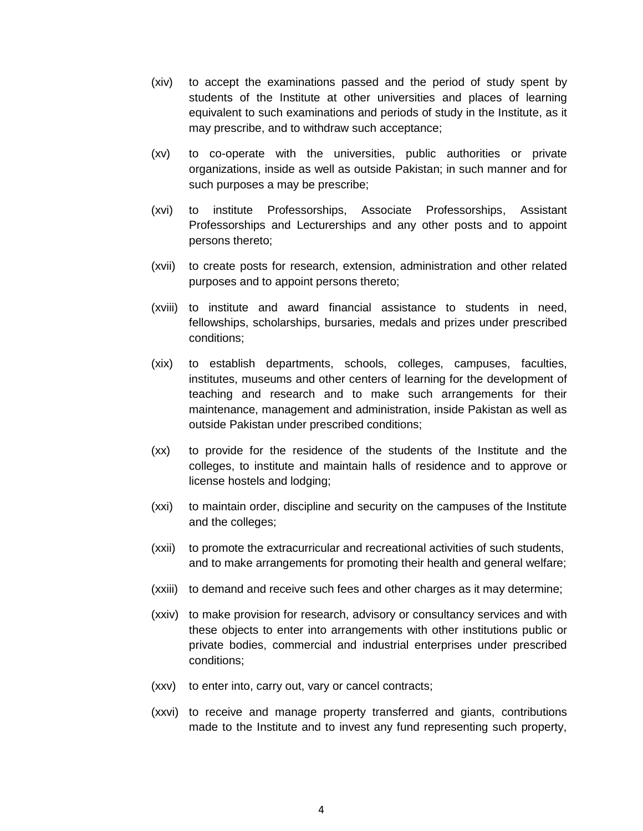- (xiv) to accept the examinations passed and the period of study spent by students of the Institute at other universities and places of learning equivalent to such examinations and periods of study in the Institute, as it may prescribe, and to withdraw such acceptance;
- (xv) to co-operate with the universities, public authorities or private organizations, inside as well as outside Pakistan; in such manner and for such purposes a may be prescribe;
- (xvi) to institute Professorships, Associate Professorships, Assistant Professorships and Lecturerships and any other posts and to appoint persons thereto;
- (xvii) to create posts for research, extension, administration and other related purposes and to appoint persons thereto;
- (xviii) to institute and award financial assistance to students in need, fellowships, scholarships, bursaries, medals and prizes under prescribed conditions;
- (xix) to establish departments, schools, colleges, campuses, faculties, institutes, museums and other centers of learning for the development of teaching and research and to make such arrangements for their maintenance, management and administration, inside Pakistan as well as outside Pakistan under prescribed conditions;
- (xx) to provide for the residence of the students of the Institute and the colleges, to institute and maintain halls of residence and to approve or license hostels and lodging;
- (xxi) to maintain order, discipline and security on the campuses of the Institute and the colleges;
- (xxii) to promote the extracurricular and recreational activities of such students, and to make arrangements for promoting their health and general welfare;
- (xxiii) to demand and receive such fees and other charges as it may determine;
- (xxiv) to make provision for research, advisory or consultancy services and with these objects to enter into arrangements with other institutions public or private bodies, commercial and industrial enterprises under prescribed conditions;
- (xxv) to enter into, carry out, vary or cancel contracts;
- (xxvi) to receive and manage property transferred and giants, contributions made to the Institute and to invest any fund representing such property,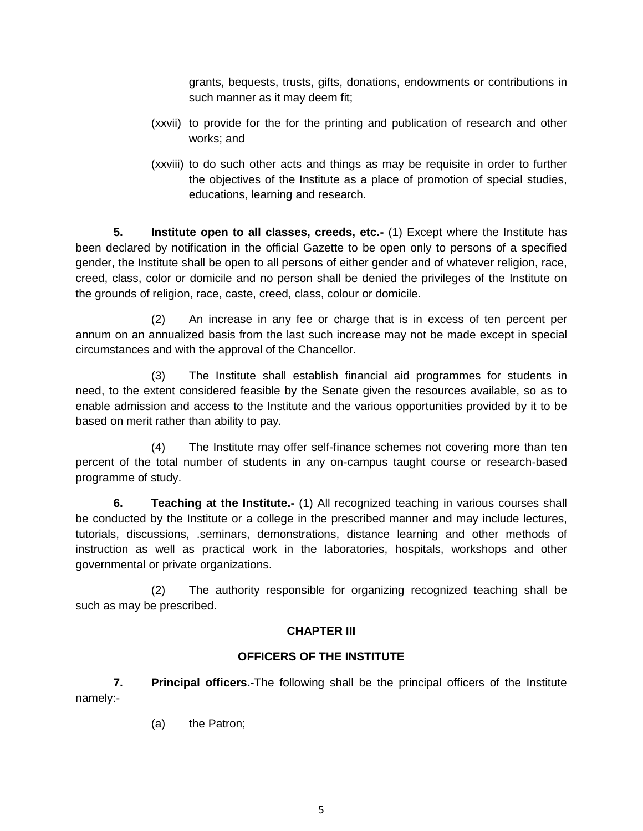grants, bequests, trusts, gifts, donations, endowments or contributions in such manner as it may deem fit;

- (xxvii) to provide for the for the printing and publication of research and other works; and
- (xxviii) to do such other acts and things as may be requisite in order to further the objectives of the Institute as a place of promotion of special studies, educations, learning and research.

**5. Institute open to all classes, creeds, etc.-** (1) Except where the Institute has been declared by notification in the official Gazette to be open only to persons of a specified gender, the Institute shall be open to all persons of either gender and of whatever religion, race, creed, class, color or domicile and no person shall be denied the privileges of the Institute on the grounds of religion, race, caste, creed, class, colour or domicile.

(2) An increase in any fee or charge that is in excess of ten percent per annum on an annualized basis from the last such increase may not be made except in special circumstances and with the approval of the Chancellor.

(3) The Institute shall establish financial aid programmes for students in need, to the extent considered feasible by the Senate given the resources available, so as to enable admission and access to the Institute and the various opportunities provided by it to be based on merit rather than ability to pay.

(4) The Institute may offer self-finance schemes not covering more than ten percent of the total number of students in any on-campus taught course or research-based programme of study.

**6. Teaching at the Institute.-** (1) All recognized teaching in various courses shall be conducted by the Institute or a college in the prescribed manner and may include lectures, tutorials, discussions, .seminars, demonstrations, distance learning and other methods of instruction as well as practical work in the laboratories, hospitals, workshops and other governmental or private organizations.

(2) The authority responsible for organizing recognized teaching shall be such as may be prescribed.

## **CHAPTER III**

## **OFFICERS OF THE INSTITUTE**

**7. Principal officers.-**The following shall be the principal officers of the Institute namely:-

(a) the Patron;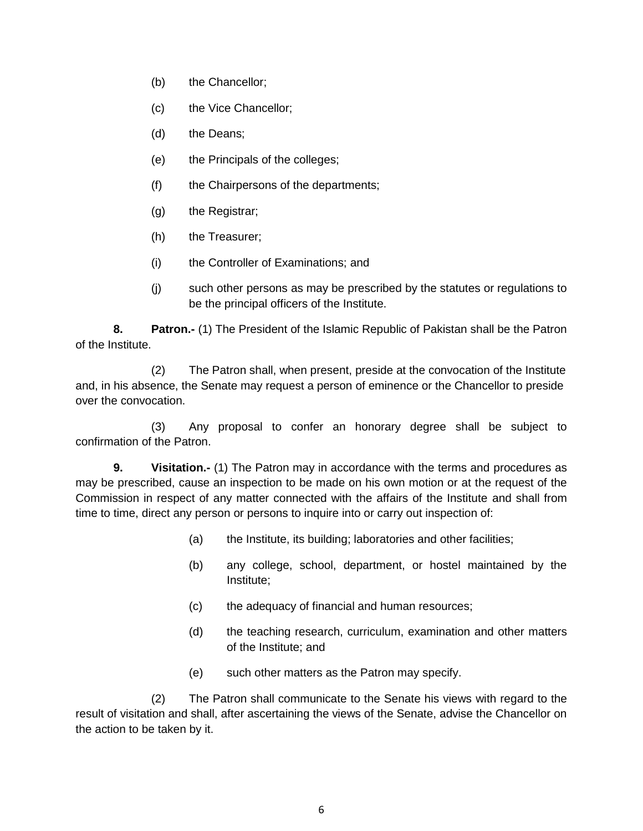- (b) the Chancellor;
- (c) the Vice Chancellor;
- (d) the Deans;
- (e) the Principals of the colleges;
- (f) the Chairpersons of the departments;
- (g) the Registrar;
- (h) the Treasurer;
- (i) the Controller of Examinations; and
- (j) such other persons as may be prescribed by the statutes or regulations to be the principal officers of the Institute.

**8. Patron.-** (1) The President of the Islamic Republic of Pakistan shall be the Patron of the Institute.

(2) The Patron shall, when present, preside at the convocation of the Institute and, in his absence, the Senate may request a person of eminence or the Chancellor to preside over the convocation.

(3) Any proposal to confer an honorary degree shall be subject to confirmation of the Patron.

**9. Visitation.-** (1) The Patron may in accordance with the terms and procedures as may be prescribed, cause an inspection to be made on his own motion or at the request of the Commission in respect of any matter connected with the affairs of the Institute and shall from time to time, direct any person or persons to inquire into or carry out inspection of:

- (a) the Institute, its building; laboratories and other facilities;
- (b) any college, school, department, or hostel maintained by the Institute;
- (c) the adequacy of financial and human resources;
- (d) the teaching research, curriculum, examination and other matters of the Institute; and
- (e) such other matters as the Patron may specify.

(2) The Patron shall communicate to the Senate his views with regard to the result of visitation and shall, after ascertaining the views of the Senate, advise the Chancellor on the action to be taken by it.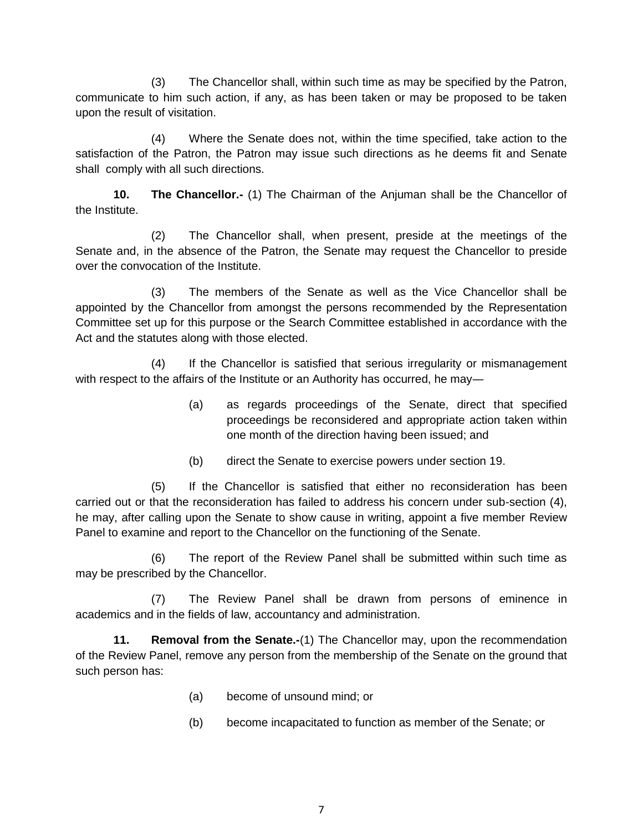(3) The Chancellor shall, within such time as may be specified by the Patron, communicate to him such action, if any, as has been taken or may be proposed to be taken upon the result of visitation.

(4) Where the Senate does not, within the time specified, take action to the satisfaction of the Patron, the Patron may issue such directions as he deems fit and Senate shall comply with all such directions.

**10. The Chancellor.-** (1) The Chairman of the Anjuman shall be the Chancellor of the Institute.

(2) The Chancellor shall, when present, preside at the meetings of the Senate and, in the absence of the Patron, the Senate may request the Chancellor to preside over the convocation of the Institute.

(3) The members of the Senate as well as the Vice Chancellor shall be appointed by the Chancellor from amongst the persons recommended by the Representation Committee set up for this purpose or the Search Committee established in accordance with the Act and the statutes along with those elected.

(4) If the Chancellor is satisfied that serious irregularity or mismanagement with respect to the affairs of the Institute or an Authority has occurred, he may—

- (a) as regards proceedings of the Senate, direct that specified proceedings be reconsidered and appropriate action taken within one month of the direction having been issued; and
- (b) direct the Senate to exercise powers under section 19.

(5) If the Chancellor is satisfied that either no reconsideration has been carried out or that the reconsideration has failed to address his concern under sub-section (4), he may, after calling upon the Senate to show cause in writing, appoint a five member Review Panel to examine and report to the Chancellor on the functioning of the Senate.

(6) The report of the Review Panel shall be submitted within such time as may be prescribed by the Chancellor.

(7) The Review Panel shall be drawn from persons of eminence in academics and in the fields of law, accountancy and administration.

**11. Removal from the Senate.-**(1) The Chancellor may, upon the recommendation of the Review Panel, remove any person from the membership of the Senate on the ground that such person has:

- (a) become of unsound mind; or
- (b) become incapacitated to function as member of the Senate; or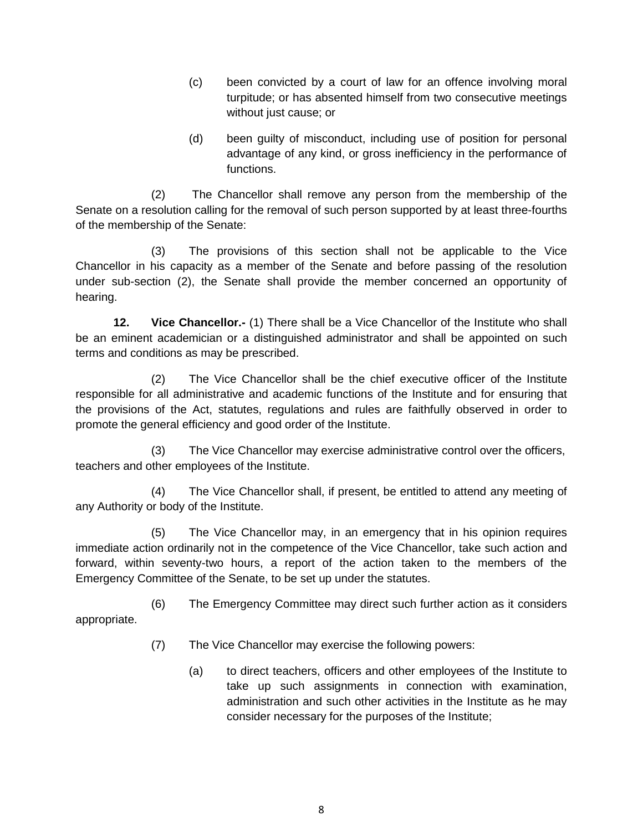- (c) been convicted by a court of law for an offence involving moral turpitude; or has absented himself from two consecutive meetings without just cause; or
- (d) been guilty of misconduct, including use of position for personal advantage of any kind, or gross inefficiency in the performance of functions.

(2) The Chancellor shall remove any person from the membership of the Senate on a resolution calling for the removal of such person supported by at least three-fourths of the membership of the Senate:

(3) The provisions of this section shall not be applicable to the Vice Chancellor in his capacity as a member of the Senate and before passing of the resolution under sub-section (2), the Senate shall provide the member concerned an opportunity of hearing.

**12. Vice Chancellor.-** (1) There shall be a Vice Chancellor of the Institute who shall be an eminent academician or a distinguished administrator and shall be appointed on such terms and conditions as may be prescribed.

(2) The Vice Chancellor shall be the chief executive officer of the Institute responsible for all administrative and academic functions of the Institute and for ensuring that the provisions of the Act, statutes, regulations and rules are faithfully observed in order to promote the general efficiency and good order of the Institute.

(3) The Vice Chancellor may exercise administrative control over the officers, teachers and other employees of the Institute.

(4) The Vice Chancellor shall, if present, be entitled to attend any meeting of any Authority or body of the Institute.

(5) The Vice Chancellor may, in an emergency that in his opinion requires immediate action ordinarily not in the competence of the Vice Chancellor, take such action and forward, within seventy-two hours, a report of the action taken to the members of the Emergency Committee of the Senate, to be set up under the statutes.

(6) The Emergency Committee may direct such further action as it considers appropriate.

- (7) The Vice Chancellor may exercise the following powers:
	- (a) to direct teachers, officers and other employees of the Institute to take up such assignments in connection with examination, administration and such other activities in the Institute as he may consider necessary for the purposes of the Institute;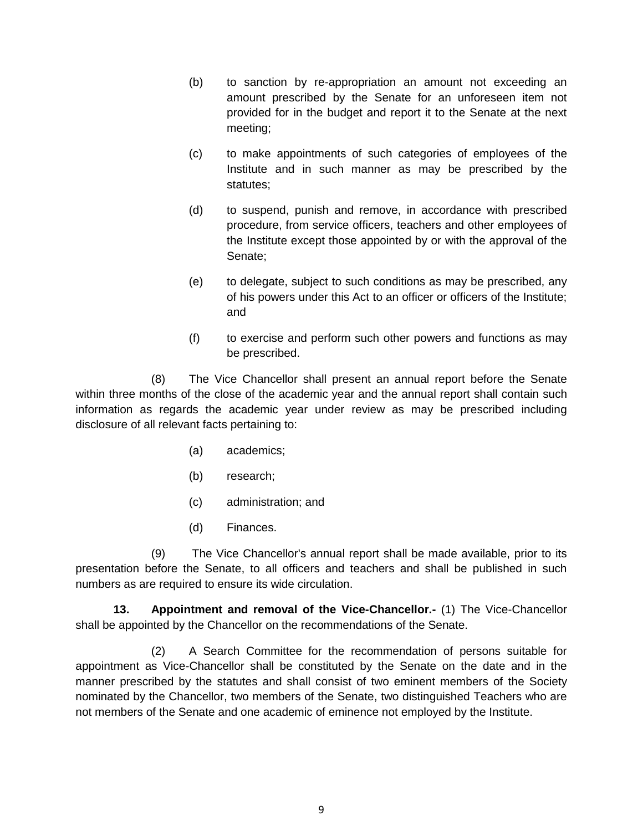- (b) to sanction by re-appropriation an amount not exceeding an amount prescribed by the Senate for an unforeseen item not provided for in the budget and report it to the Senate at the next meeting;
- (c) to make appointments of such categories of employees of the Institute and in such manner as may be prescribed by the statutes;
- (d) to suspend, punish and remove, in accordance with prescribed procedure, from service officers, teachers and other employees of the Institute except those appointed by or with the approval of the Senate;
- (e) to delegate, subject to such conditions as may be prescribed, any of his powers under this Act to an officer or officers of the Institute; and
- (f) to exercise and perform such other powers and functions as may be prescribed.

(8) The Vice Chancellor shall present an annual report before the Senate within three months of the close of the academic year and the annual report shall contain such information as regards the academic year under review as may be prescribed including disclosure of all relevant facts pertaining to:

- (a) academics;
- (b) research;
- (c) administration; and
- (d) Finances.

(9) The Vice Chancellor's annual report shall be made available, prior to its presentation before the Senate, to all officers and teachers and shall be published in such numbers as are required to ensure its wide circulation.

**13. Appointment and removal of the Vice-Chancellor.-** (1) The Vice-Chancellor shall be appointed by the Chancellor on the recommendations of the Senate.

(2) A Search Committee for the recommendation of persons suitable for appointment as Vice-Chancellor shall be constituted by the Senate on the date and in the manner prescribed by the statutes and shall consist of two eminent members of the Society nominated by the Chancellor, two members of the Senate, two distinguished Teachers who are not members of the Senate and one academic of eminence not employed by the Institute.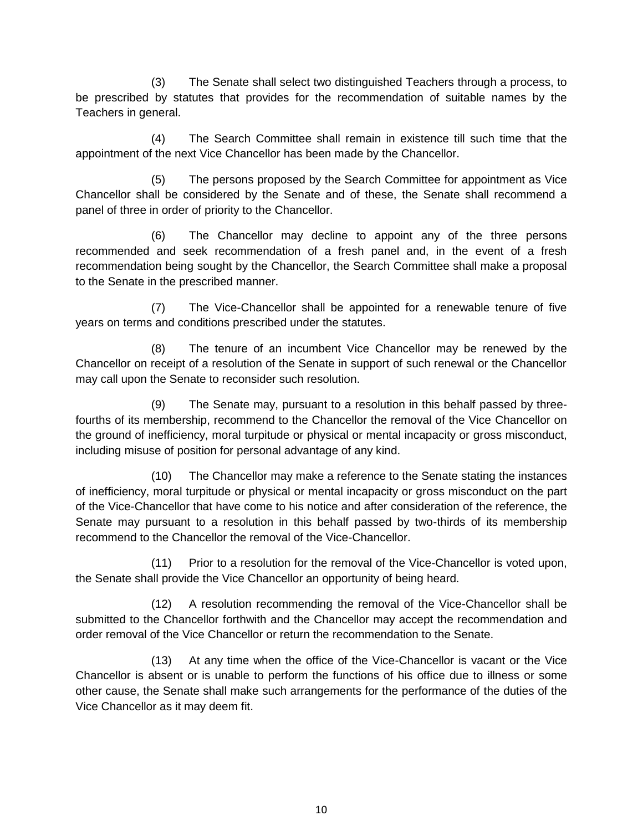(3) The Senate shall select two distinguished Teachers through a process, to be prescribed by statutes that provides for the recommendation of suitable names by the Teachers in general.

(4) The Search Committee shall remain in existence till such time that the appointment of the next Vice Chancellor has been made by the Chancellor.

(5) The persons proposed by the Search Committee for appointment as Vice Chancellor shall be considered by the Senate and of these, the Senate shall recommend a panel of three in order of priority to the Chancellor.

(6) The Chancellor may decline to appoint any of the three persons recommended and seek recommendation of a fresh panel and, in the event of a fresh recommendation being sought by the Chancellor, the Search Committee shall make a proposal to the Senate in the prescribed manner.

(7) The Vice-Chancellor shall be appointed for a renewable tenure of five years on terms and conditions prescribed under the statutes.

(8) The tenure of an incumbent Vice Chancellor may be renewed by the Chancellor on receipt of a resolution of the Senate in support of such renewal or the Chancellor may call upon the Senate to reconsider such resolution.

(9) The Senate may, pursuant to a resolution in this behalf passed by threefourths of its membership, recommend to the Chancellor the removal of the Vice Chancellor on the ground of inefficiency, moral turpitude or physical or mental incapacity or gross misconduct, including misuse of position for personal advantage of any kind.

(10) The Chancellor may make a reference to the Senate stating the instances of inefficiency, moral turpitude or physical or mental incapacity or gross misconduct on the part of the Vice-Chancellor that have come to his notice and after consideration of the reference, the Senate may pursuant to a resolution in this behalf passed by two-thirds of its membership recommend to the Chancellor the removal of the Vice-Chancellor.

(11) Prior to a resolution for the removal of the Vice-Chancellor is voted upon, the Senate shall provide the Vice Chancellor an opportunity of being heard.

(12) A resolution recommending the removal of the Vice-Chancellor shall be submitted to the Chancellor forthwith and the Chancellor may accept the recommendation and order removal of the Vice Chancellor or return the recommendation to the Senate.

(13) At any time when the office of the Vice-Chancellor is vacant or the Vice Chancellor is absent or is unable to perform the functions of his office due to illness or some other cause, the Senate shall make such arrangements for the performance of the duties of the Vice Chancellor as it may deem fit.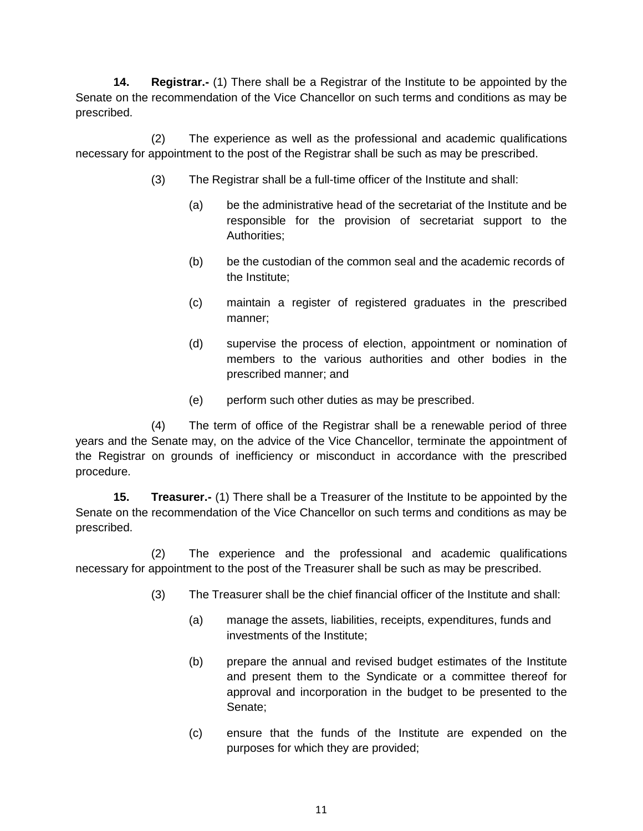**14. Registrar.-** (1) There shall be a Registrar of the Institute to be appointed by the Senate on the recommendation of the Vice Chancellor on such terms and conditions as may be prescribed.

(2) The experience as well as the professional and academic qualifications necessary for appointment to the post of the Registrar shall be such as may be prescribed.

- (3) The Registrar shall be a full-time officer of the Institute and shall:
	- (a) be the administrative head of the secretariat of the Institute and be responsible for the provision of secretariat support to the Authorities;
	- (b) be the custodian of the common seal and the academic records of the Institute;
	- (c) maintain a register of registered graduates in the prescribed manner;
	- (d) supervise the process of election, appointment or nomination of members to the various authorities and other bodies in the prescribed manner; and
	- (e) perform such other duties as may be prescribed.

(4) The term of office of the Registrar shall be a renewable period of three years and the Senate may, on the advice of the Vice Chancellor, terminate the appointment of the Registrar on grounds of inefficiency or misconduct in accordance with the prescribed procedure.

**15. Treasurer.-** (1) There shall be a Treasurer of the Institute to be appointed by the Senate on the recommendation of the Vice Chancellor on such terms and conditions as may be prescribed.

(2) The experience and the professional and academic qualifications necessary for appointment to the post of the Treasurer shall be such as may be prescribed.

- (3) The Treasurer shall be the chief financial officer of the Institute and shall:
	- (a) manage the assets, liabilities, receipts, expenditures, funds and investments of the Institute;
	- (b) prepare the annual and revised budget estimates of the Institute and present them to the Syndicate or a committee thereof for approval and incorporation in the budget to be presented to the Senate;
	- (c) ensure that the funds of the Institute are expended on the purposes for which they are provided;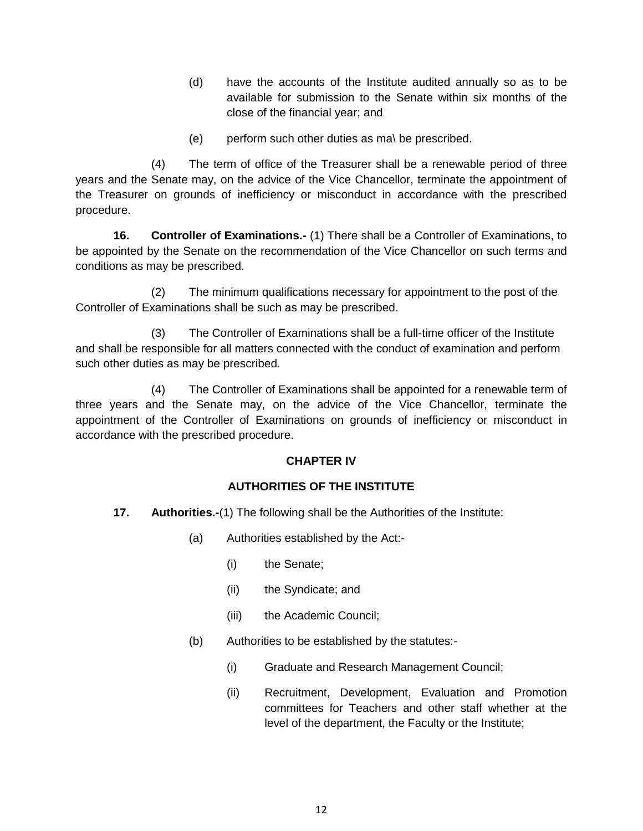- (d) have the accounts of the Institute audited annually so as to be available for submission to the Senate within six months of the close of the financial year; and
- (e) perform such other duties as ma\ be prescribed.

(4) The term of office of the Treasurer shall be a renewable period of three years and the Senate may, on the advice of the Vice Chancellor, terminate the appointment of the Treasurer on grounds of inefficiency or misconduct in accordance with the prescribed procedure.

**16. Controller of Examinations.-** (1) There shall be a Controller of Examinations, to be appointed by the Senate on the recommendation of the Vice Chancellor on such terms and conditions as may be prescribed.

(2) The minimum qualifications necessary for appointment to the post of the Controller of Examinations shall be such as may be prescribed.

(3) The Controller of Examinations shall be a full-time officer of the Institute and shall be responsible for all matters connected with the conduct of examination and perform such other duties as may be prescribed.

(4) The Controller of Examinations shall be appointed for a renewable term of three years and the Senate may, on the advice of the Vice Chancellor, terminate the appointment of the Controller of Examinations on grounds of inefficiency or misconduct in accordance with the prescribed procedure.

## **CHAPTER IV**

#### **AUTHORITIES OF THE INSTITUTE**

- **17. Authorities.-**(1) The following shall be the Authorities of the Institute:
	- (a) Authorities established by the Act:-
		- (i) the Senate;
		- (ii) the Syndicate; and
		- (iii) the Academic Council;
	- (b) Authorities to be established by the statutes:-
		- (i) Graduate and Research Management Council;
		- (ii) Recruitment, Development, Evaluation and Promotion committees for Teachers and other staff whether at the level of the department, the Faculty or the Institute;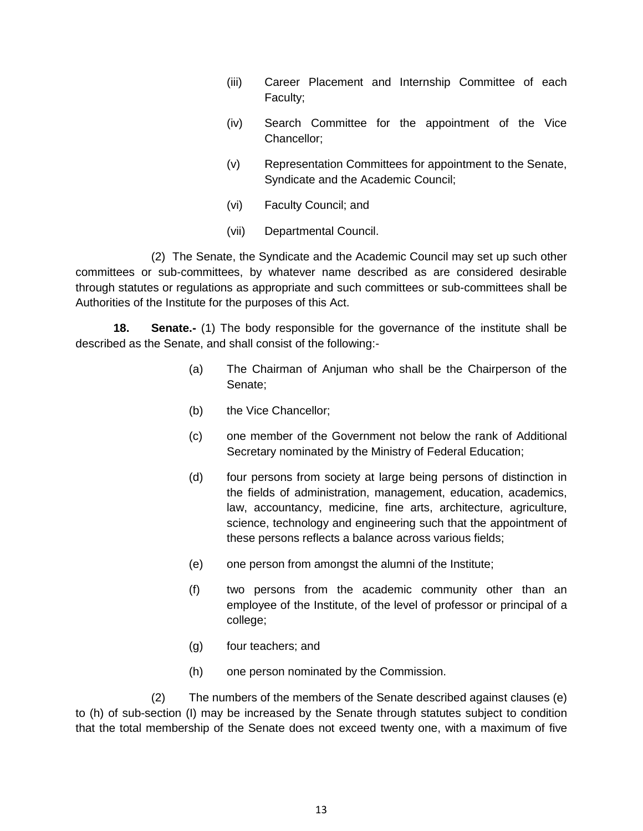- (iii) Career Placement and Internship Committee of each Faculty;
- (iv) Search Committee for the appointment of the Vice Chancellor;
- (v) Representation Committees for appointment to the Senate, Syndicate and the Academic Council;
- (vi) Faculty Council; and
- (vii) Departmental Council.

(2) The Senate, the Syndicate and the Academic Council may set up such other committees or sub-committees, by whatever name described as are considered desirable through statutes or regulations as appropriate and such committees or sub-committees shall be Authorities of the Institute for the purposes of this Act.

**18. Senate.-** (1) The body responsible for the governance of the institute shall be described as the Senate, and shall consist of the following:-

- (a) The Chairman of Anjuman who shall be the Chairperson of the Senate;
- (b) the Vice Chancellor;
- (c) one member of the Government not below the rank of Additional Secretary nominated by the Ministry of Federal Education;
- (d) four persons from society at large being persons of distinction in the fields of administration, management, education, academics, law, accountancy, medicine, fine arts, architecture, agriculture, science, technology and engineering such that the appointment of these persons reflects a balance across various fields;
- (e) one person from amongst the alumni of the Institute;
- (f) two persons from the academic community other than an employee of the Institute, of the level of professor or principal of a college;
- (g) four teachers; and
- (h) one person nominated by the Commission.

(2) The numbers of the members of the Senate described against clauses (e) to (h) of sub-section (I) may be increased by the Senate through statutes subject to condition that the total membership of the Senate does not exceed twenty one, with a maximum of five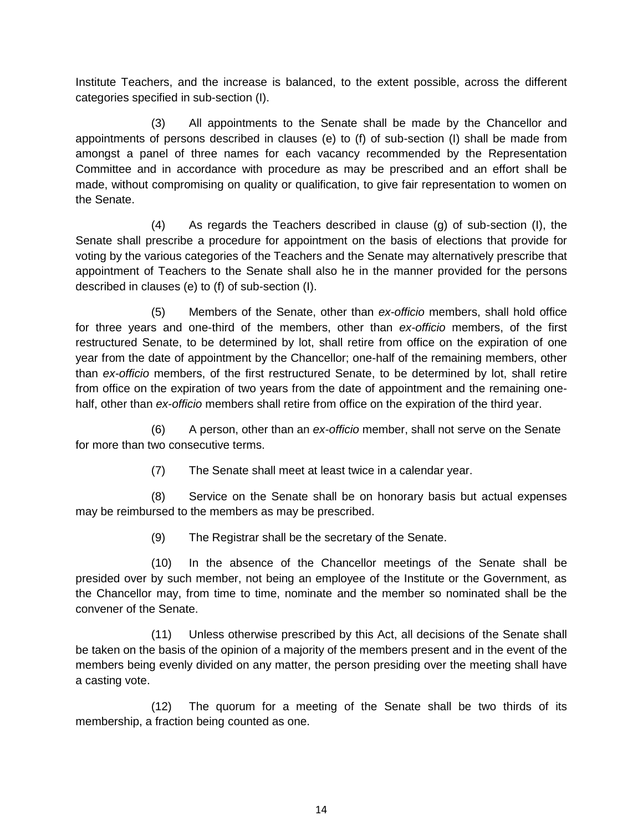Institute Teachers, and the increase is balanced, to the extent possible, across the different categories specified in sub-section (I).

(3) All appointments to the Senate shall be made by the Chancellor and appointments of persons described in clauses (e) to (f) of sub-section (I) shall be made from amongst a panel of three names for each vacancy recommended by the Representation Committee and in accordance with procedure as may be prescribed and an effort shall be made, without compromising on quality or qualification, to give fair representation to women on the Senate.

(4) As regards the Teachers described in clause (g) of sub-section (I), the Senate shall prescribe a procedure for appointment on the basis of elections that provide for voting by the various categories of the Teachers and the Senate may alternatively prescribe that appointment of Teachers to the Senate shall also he in the manner provided for the persons described in clauses (e) to (f) of sub-section (I).

(5) Members of the Senate, other than *ex-officio* members, shall hold office for three years and one-third of the members, other than *ex-officio* members, of the first restructured Senate, to be determined by lot, shall retire from office on the expiration of one year from the date of appointment by the Chancellor; one-half of the remaining members, other than *ex-officio* members, of the first restructured Senate, to be determined by lot, shall retire from office on the expiration of two years from the date of appointment and the remaining onehalf, other than *ex-officio* members shall retire from office on the expiration of the third year.

(6) A person, other than an *ex-officio* member, shall not serve on the Senate for more than two consecutive terms.

(7) The Senate shall meet at least twice in a calendar year.

(8) Service on the Senate shall be on honorary basis but actual expenses may be reimbursed to the members as may be prescribed.

(9) The Registrar shall be the secretary of the Senate.

(10) In the absence of the Chancellor meetings of the Senate shall be presided over by such member, not being an employee of the Institute or the Government, as the Chancellor may, from time to time, nominate and the member so nominated shall be the convener of the Senate.

(11) Unless otherwise prescribed by this Act, all decisions of the Senate shall be taken on the basis of the opinion of a majority of the members present and in the event of the members being evenly divided on any matter, the person presiding over the meeting shall have a casting vote.

(12) The quorum for a meeting of the Senate shall be two thirds of its membership, a fraction being counted as one.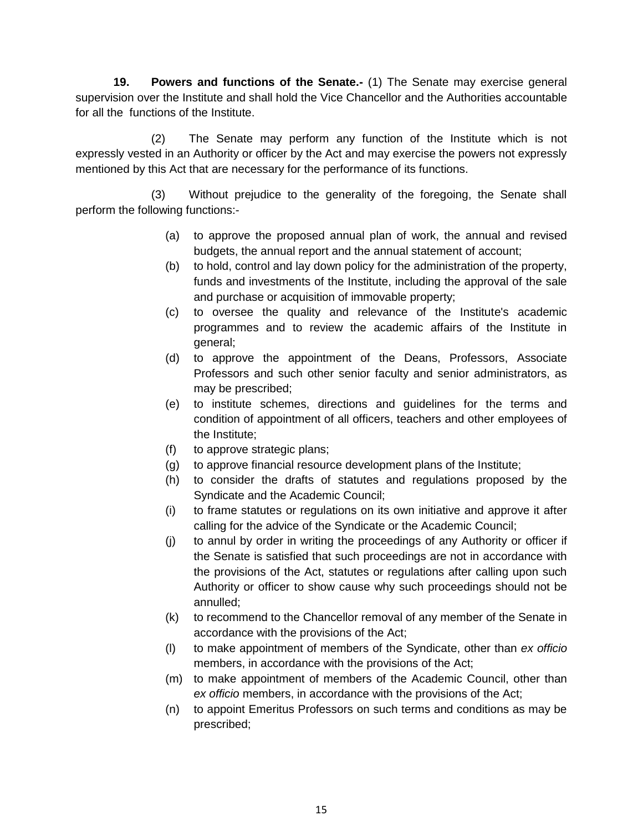**19. Powers and functions of the Senate.-** (1) The Senate may exercise general supervision over the Institute and shall hold the Vice Chancellor and the Authorities accountable for all the functions of the Institute.

(2) The Senate may perform any function of the Institute which is not expressly vested in an Authority or officer by the Act and may exercise the powers not expressly mentioned by this Act that are necessary for the performance of its functions.

(3) Without prejudice to the generality of the foregoing, the Senate shall perform the following functions:-

- (a) to approve the proposed annual plan of work, the annual and revised budgets, the annual report and the annual statement of account;
- (b) to hold, control and lay down policy for the administration of the property, funds and investments of the Institute, including the approval of the sale and purchase or acquisition of immovable property;
- (c) to oversee the quality and relevance of the Institute's academic programmes and to review the academic affairs of the Institute in general;
- (d) to approve the appointment of the Deans, Professors, Associate Professors and such other senior faculty and senior administrators, as may be prescribed;
- (e) to institute schemes, directions and guidelines for the terms and condition of appointment of all officers, teachers and other employees of the Institute;
- (f) to approve strategic plans;
- (g) to approve financial resource development plans of the Institute;
- (h) to consider the drafts of statutes and regulations proposed by the Syndicate and the Academic Council;
- (i) to frame statutes or regulations on its own initiative and approve it after calling for the advice of the Syndicate or the Academic Council;
- (j) to annul by order in writing the proceedings of any Authority or officer if the Senate is satisfied that such proceedings are not in accordance with the provisions of the Act, statutes or regulations after calling upon such Authority or officer to show cause why such proceedings should not be annulled;
- (k) to recommend to the Chancellor removal of any member of the Senate in accordance with the provisions of the Act;
- (l) to make appointment of members of the Syndicate, other than *ex officio* members, in accordance with the provisions of the Act;
- (m) to make appointment of members of the Academic Council, other than *ex officio* members, in accordance with the provisions of the Act;
- (n) to appoint Emeritus Professors on such terms and conditions as may be prescribed;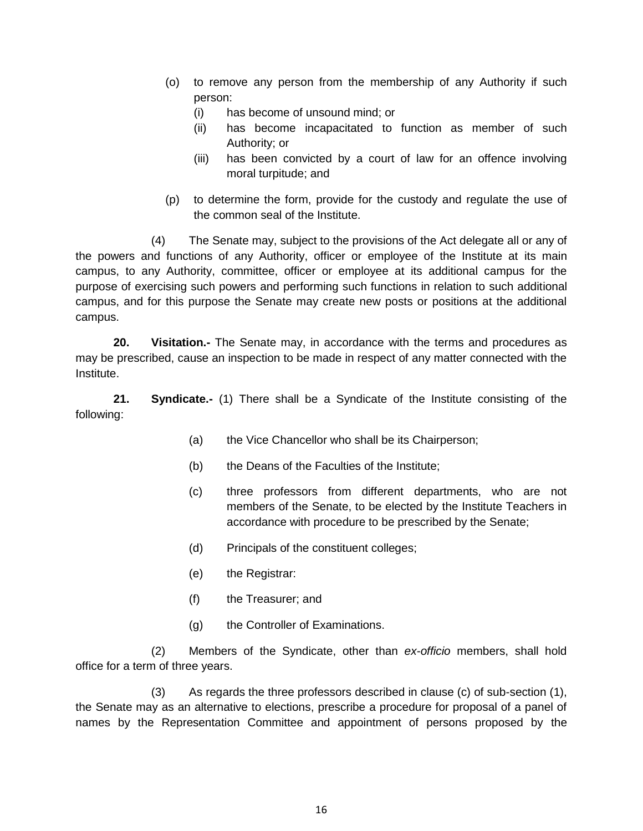- (o) to remove any person from the membership of any Authority if such person:
	- (i) has become of unsound mind; or
	- (ii) has become incapacitated to function as member of such Authority; or
	- (iii) has been convicted by a court of law for an offence involving moral turpitude; and
- (p) to determine the form, provide for the custody and regulate the use of the common seal of the Institute.

(4) The Senate may, subject to the provisions of the Act delegate all or any of the powers and functions of any Authority, officer or employee of the Institute at its main campus, to any Authority, committee, officer or employee at its additional campus for the purpose of exercising such powers and performing such functions in relation to such additional campus, and for this purpose the Senate may create new posts or positions at the additional campus.

**20. Visitation.-** The Senate may, in accordance with the terms and procedures as may be prescribed, cause an inspection to be made in respect of any matter connected with the Institute.

**21. Syndicate.-** (1) There shall be a Syndicate of the Institute consisting of the following:

- (a) the Vice Chancellor who shall be its Chairperson;
- (b) the Deans of the Faculties of the Institute;
- (c) three professors from different departments, who are not members of the Senate, to be elected by the Institute Teachers in accordance with procedure to be prescribed by the Senate;
- (d) Principals of the constituent colleges;
- (e) the Registrar:
- (f) the Treasurer; and
- (g) the Controller of Examinations.

(2) Members of the Syndicate, other than *ex-officio* members, shall hold office for a term of three years.

(3) As regards the three professors described in clause (c) of sub-section (1), the Senate may as an alternative to elections, prescribe a procedure for proposal of a panel of names by the Representation Committee and appointment of persons proposed by the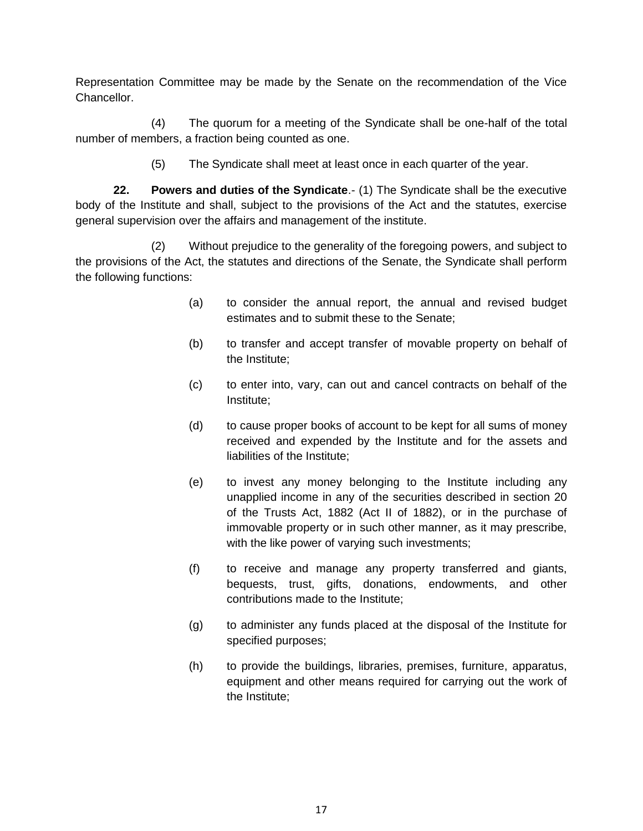Representation Committee may be made by the Senate on the recommendation of the Vice Chancellor.

(4) The quorum for a meeting of the Syndicate shall be one-half of the total number of members, a fraction being counted as one.

(5) The Syndicate shall meet at least once in each quarter of the year.

**22. Powers and duties of the Syndicate**.- (1) The Syndicate shall be the executive body of the Institute and shall, subject to the provisions of the Act and the statutes, exercise general supervision over the affairs and management of the institute.

(2) Without prejudice to the generality of the foregoing powers, and subject to the provisions of the Act, the statutes and directions of the Senate, the Syndicate shall perform the following functions:

- (a) to consider the annual report, the annual and revised budget estimates and to submit these to the Senate;
- (b) to transfer and accept transfer of movable property on behalf of the Institute;
- (c) to enter into, vary, can out and cancel contracts on behalf of the Institute;
- (d) to cause proper books of account to be kept for all sums of money received and expended by the Institute and for the assets and liabilities of the Institute;
- (e) to invest any money belonging to the Institute including any unapplied income in any of the securities described in section 20 of the Trusts Act, 1882 (Act II of 1882), or in the purchase of immovable property or in such other manner, as it may prescribe, with the like power of varying such investments;
- (f) to receive and manage any property transferred and giants, bequests, trust, gifts, donations, endowments, and other contributions made to the Institute;
- (g) to administer any funds placed at the disposal of the Institute for specified purposes;
- (h) to provide the buildings, libraries, premises, furniture, apparatus, equipment and other means required for carrying out the work of the Institute;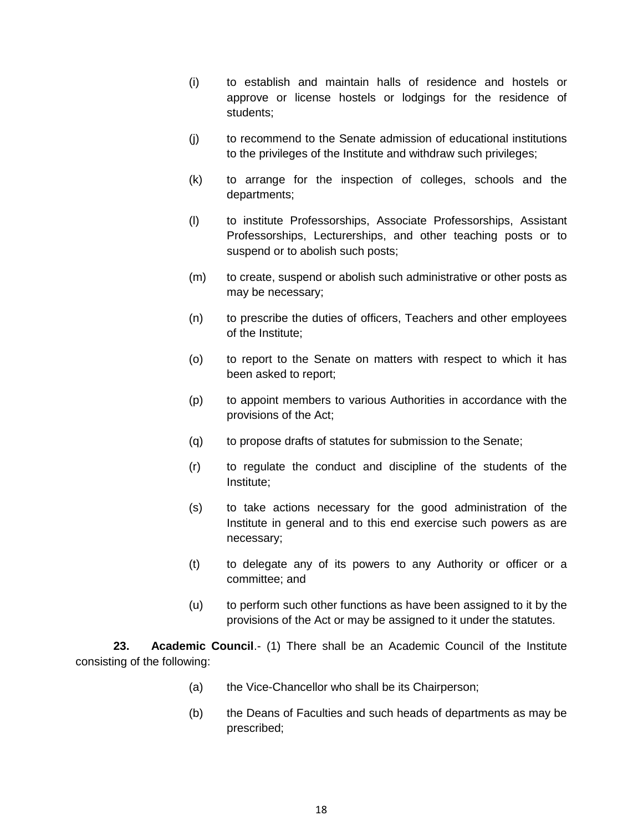- (i) to establish and maintain halls of residence and hostels or approve or license hostels or lodgings for the residence of students;
- (j) to recommend to the Senate admission of educational institutions to the privileges of the Institute and withdraw such privileges;
- (k) to arrange for the inspection of colleges, schools and the departments;
- (l) to institute Professorships, Associate Professorships, Assistant Professorships, Lecturerships, and other teaching posts or to suspend or to abolish such posts;
- (m) to create, suspend or abolish such administrative or other posts as may be necessary;
- (n) to prescribe the duties of officers, Teachers and other employees of the Institute;
- (o) to report to the Senate on matters with respect to which it has been asked to report;
- (p) to appoint members to various Authorities in accordance with the provisions of the Act;
- (q) to propose drafts of statutes for submission to the Senate;
- (r) to regulate the conduct and discipline of the students of the Institute;
- (s) to take actions necessary for the good administration of the Institute in general and to this end exercise such powers as are necessary;
- (t) to delegate any of its powers to any Authority or officer or a committee; and
- (u) to perform such other functions as have been assigned to it by the provisions of the Act or may be assigned to it under the statutes.

**23. Academic Council**.- (1) There shall be an Academic Council of the Institute consisting of the following:

- (a) the Vice-Chancellor who shall be its Chairperson;
- (b) the Deans of Faculties and such heads of departments as may be prescribed;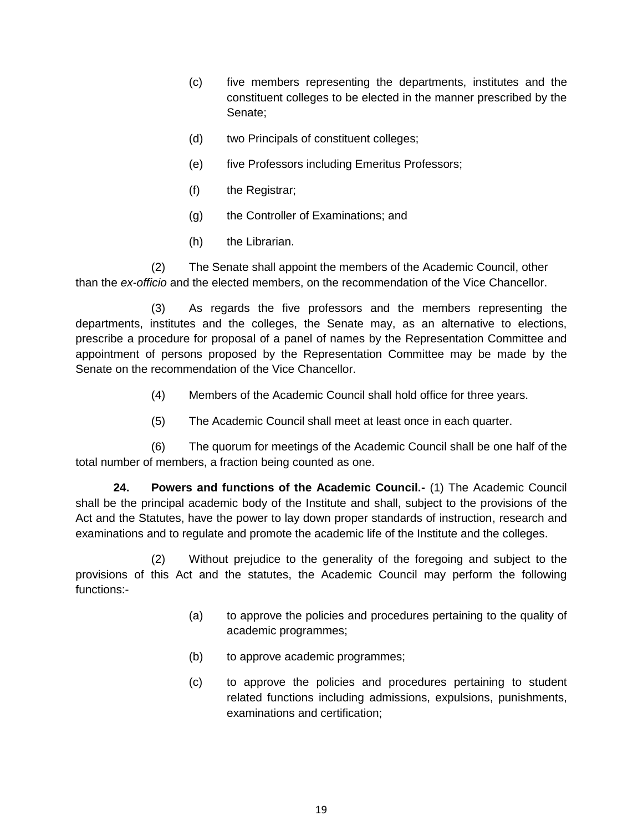- (c) five members representing the departments, institutes and the constituent colleges to be elected in the manner prescribed by the Senate;
- (d) two Principals of constituent colleges;
- (e) five Professors including Emeritus Professors;
- (f) the Registrar;
- (g) the Controller of Examinations; and
- (h) the Librarian.

(2) The Senate shall appoint the members of the Academic Council, other than the *ex-officio* and the elected members, on the recommendation of the Vice Chancellor.

(3) As regards the five professors and the members representing the departments, institutes and the colleges, the Senate may, as an alternative to elections, prescribe a procedure for proposal of a panel of names by the Representation Committee and appointment of persons proposed by the Representation Committee may be made by the Senate on the recommendation of the Vice Chancellor.

- (4) Members of the Academic Council shall hold office for three years.
- (5) The Academic Council shall meet at least once in each quarter.

(6) The quorum for meetings of the Academic Council shall be one half of the total number of members, a fraction being counted as one.

**24. Powers and functions of the Academic Council.-** (1) The Academic Council shall be the principal academic body of the Institute and shall, subject to the provisions of the Act and the Statutes, have the power to lay down proper standards of instruction, research and examinations and to regulate and promote the academic life of the Institute and the colleges.

(2) Without prejudice to the generality of the foregoing and subject to the provisions of this Act and the statutes, the Academic Council may perform the following functions:-

- (a) to approve the policies and procedures pertaining to the quality of academic programmes;
- (b) to approve academic programmes;
- (c) to approve the policies and procedures pertaining to student related functions including admissions, expulsions, punishments, examinations and certification;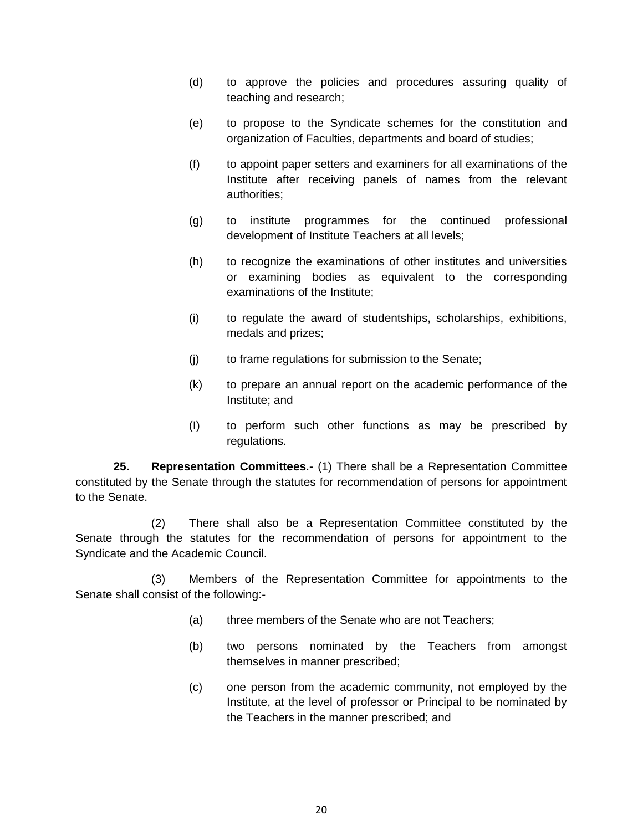- (d) to approve the policies and procedures assuring quality of teaching and research;
- (e) to propose to the Syndicate schemes for the constitution and organization of Faculties, departments and board of studies;
- (f) to appoint paper setters and examiners for all examinations of the Institute after receiving panels of names from the relevant authorities;
- (g) to institute programmes for the continued professional development of Institute Teachers at all levels;
- (h) to recognize the examinations of other institutes and universities or examining bodies as equivalent to the corresponding examinations of the Institute;
- (i) to regulate the award of studentships, scholarships, exhibitions, medals and prizes;
- (j) to frame regulations for submission to the Senate;
- (k) to prepare an annual report on the academic performance of the Institute; and
- (I) to perform such other functions as may be prescribed by regulations.

**25. Representation Committees.-** (1) There shall be a Representation Committee constituted by the Senate through the statutes for recommendation of persons for appointment to the Senate.

(2) There shall also be a Representation Committee constituted by the Senate through the statutes for the recommendation of persons for appointment to the Syndicate and the Academic Council.

(3) Members of the Representation Committee for appointments to the Senate shall consist of the following:-

- (a) three members of the Senate who are not Teachers;
- (b) two persons nominated by the Teachers from amongst themselves in manner prescribed;
- (c) one person from the academic community, not employed by the Institute, at the level of professor or Principal to be nominated by the Teachers in the manner prescribed; and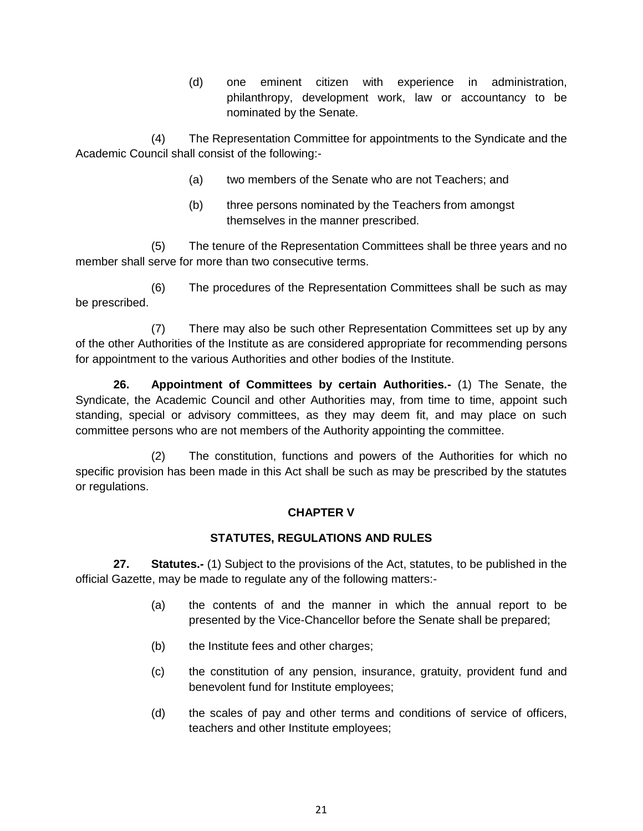(d) one eminent citizen with experience in administration, philanthropy, development work, law or accountancy to be nominated by the Senate.

(4) The Representation Committee for appointments to the Syndicate and the Academic Council shall consist of the following:-

- (a) two members of the Senate who are not Teachers; and
- (b) three persons nominated by the Teachers from amongst themselves in the manner prescribed.

(5) The tenure of the Representation Committees shall be three years and no member shall serve for more than two consecutive terms.

(6) The procedures of the Representation Committees shall be such as may be prescribed.

(7) There may also be such other Representation Committees set up by any of the other Authorities of the Institute as are considered appropriate for recommending persons for appointment to the various Authorities and other bodies of the Institute.

**26. Appointment of Committees by certain Authorities.-** (1) The Senate, the Syndicate, the Academic Council and other Authorities may, from time to time, appoint such standing, special or advisory committees, as they may deem fit, and may place on such committee persons who are not members of the Authority appointing the committee.

(2) The constitution, functions and powers of the Authorities for which no specific provision has been made in this Act shall be such as may be prescribed by the statutes or regulations.

## **CHAPTER V**

# **STATUTES, REGULATIONS AND RULES**

**27. Statutes.-** (1) Subject to the provisions of the Act, statutes, to be published in the official Gazette, may be made to regulate any of the following matters:-

- (a) the contents of and the manner in which the annual report to be presented by the Vice-Chancellor before the Senate shall be prepared;
- (b) the Institute fees and other charges;
- (c) the constitution of any pension, insurance, gratuity, provident fund and benevolent fund for Institute employees;
- (d) the scales of pay and other terms and conditions of service of officers, teachers and other Institute employees;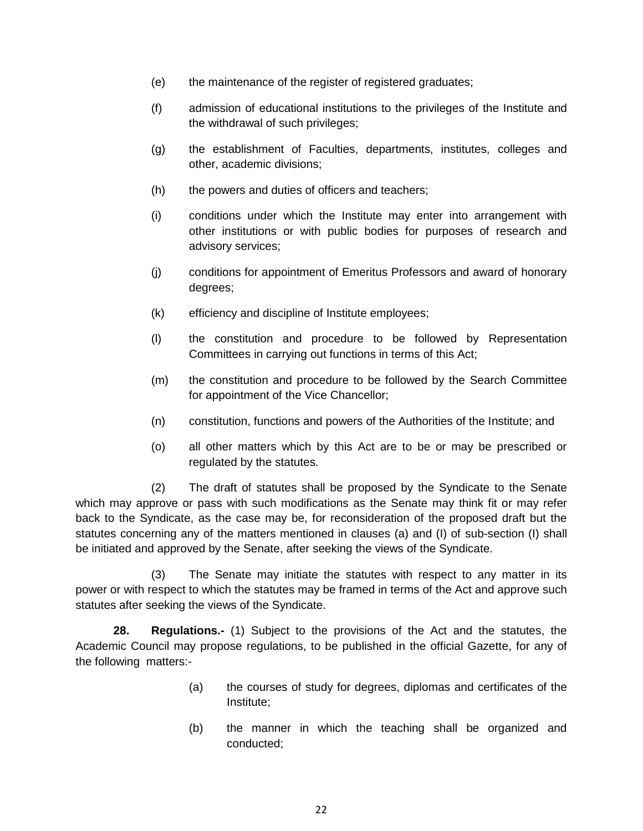- (e) the maintenance of the register of registered graduates;
- (f) admission of educational institutions to the privileges of the Institute and the withdrawal of such privileges;
- (g) the establishment of Faculties, departments, institutes, colleges and other, academic divisions;
- (h) the powers and duties of officers and teachers;
- (i) conditions under which the Institute may enter into arrangement with other institutions or with public bodies for purposes of research and advisory services;
- (j) conditions for appointment of Emeritus Professors and award of honorary degrees;
- (k) efficiency and discipline of Institute employees;
- (l) the constitution and procedure to be followed by Representation Committees in carrying out functions in terms of this Act;
- (m) the constitution and procedure to be followed by the Search Committee for appointment of the Vice Chancellor;
- (n) constitution, functions and powers of the Authorities of the Institute; and
- (o) all other matters which by this Act are to be or may be prescribed or regulated by the statutes.

(2) The draft of statutes shall be proposed by the Syndicate to the Senate which may approve or pass with such modifications as the Senate may think fit or may refer back to the Syndicate, as the case may be, for reconsideration of the proposed draft but the statutes concerning any of the matters mentioned in clauses (a) and (I) of sub-section (I) shall be initiated and approved by the Senate, after seeking the views of the Syndicate.

(3) The Senate may initiate the statutes with respect to any matter in its power or with respect to which the statutes may be framed in terms of the Act and approve such statutes after seeking the views of the Syndicate.

**28. Regulations.-** (1) Subject to the provisions of the Act and the statutes, the Academic Council may propose regulations, to be published in the official Gazette, for any of the following matters:-

- (a) the courses of study for degrees, diplomas and certificates of the Institute;
- (b) the manner in which the teaching shall be organized and conducted;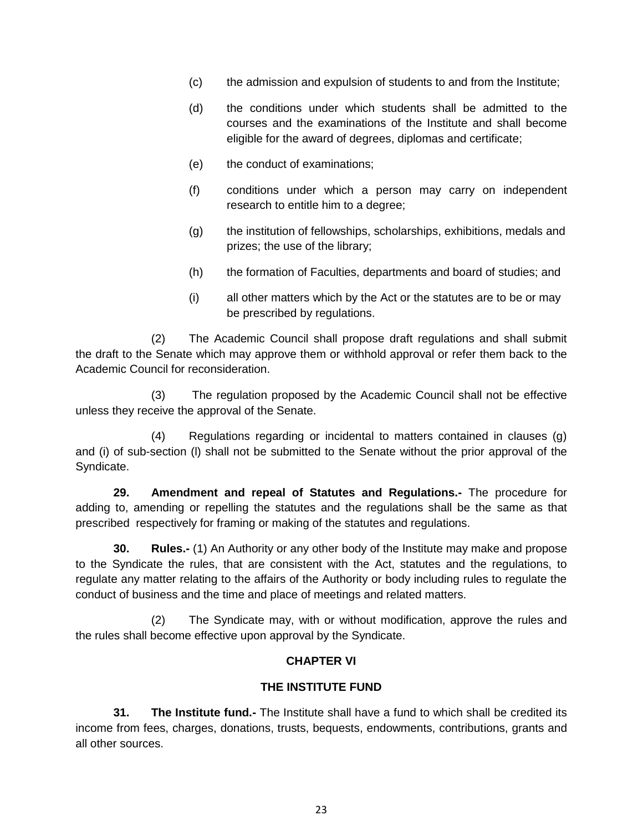- (c) the admission and expulsion of students to and from the Institute;
- (d) the conditions under which students shall be admitted to the courses and the examinations of the Institute and shall become eligible for the award of degrees, diplomas and certificate;
- (e) the conduct of examinations;
- (f) conditions under which a person may carry on independent research to entitle him to a degree;
- (g) the institution of fellowships, scholarships, exhibitions, medals and prizes; the use of the library;
- (h) the formation of Faculties, departments and board of studies; and
- (i) all other matters which by the Act or the statutes are to be or may be prescribed by regulations.

(2) The Academic Council shall propose draft regulations and shall submit the draft to the Senate which may approve them or withhold approval or refer them back to the Academic Council for reconsideration.

The regulation proposed by the Academic Council shall not be effective unless they receive the approval of the Senate.

(4) Regulations regarding or incidental to matters contained in clauses (g) and (i) of sub-section (l) shall not be submitted to the Senate without the prior approval of the Syndicate.

**29. Amendment and repeal of Statutes and Regulations.-** The procedure for adding to, amending or repelling the statutes and the regulations shall be the same as that prescribed respectively for framing or making of the statutes and regulations.

**30. Rules.-** (1) An Authority or any other body of the Institute may make and propose to the Syndicate the rules, that are consistent with the Act, statutes and the regulations, to regulate any matter relating to the affairs of the Authority or body including rules to regulate the conduct of business and the time and place of meetings and related matters.

(2) The Syndicate may, with or without modification, approve the rules and the rules shall become effective upon approval by the Syndicate.

## **CHAPTER VI**

#### **THE INSTITUTE FUND**

**31. The Institute fund.-** The Institute shall have a fund to which shall be credited its income from fees, charges, donations, trusts, bequests, endowments, contributions, grants and all other sources.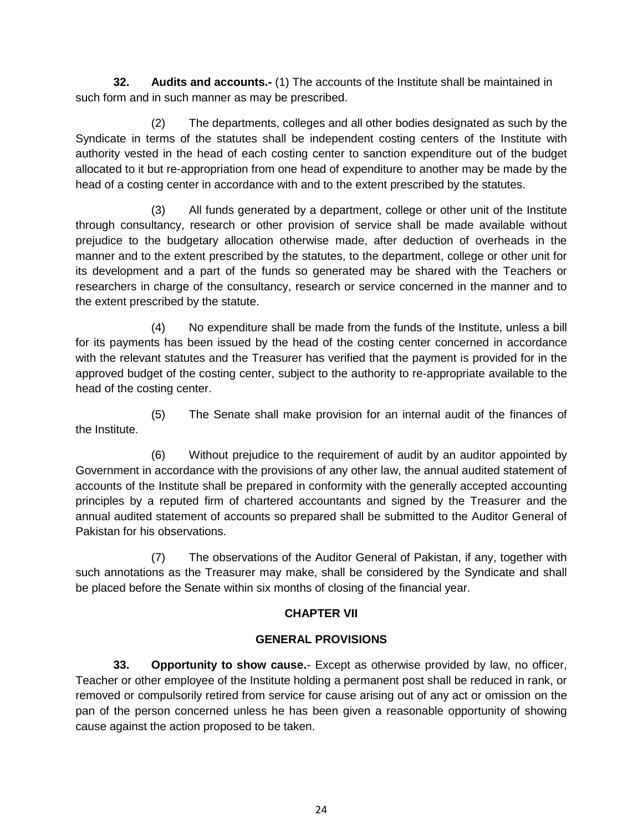**32. Audits and accounts.-** (1) The accounts of the Institute shall be maintained in such form and in such manner as may be prescribed.

(2) The departments, colleges and all other bodies designated as such by the Syndicate in terms of the statutes shall be independent costing centers of the Institute with authority vested in the head of each costing center to sanction expenditure out of the budget allocated to it but re-appropriation from one head of expenditure to another may be made by the head of a costing center in accordance with and to the extent prescribed by the statutes.

(3) All funds generated by a department, college or other unit of the Institute through consultancy, research or other provision of service shall be made available without prejudice to the budgetary allocation otherwise made, after deduction of overheads in the manner and to the extent prescribed by the statutes, to the department, college or other unit for its development and a part of the funds so generated may be shared with the Teachers or researchers in charge of the consultancy, research or service concerned in the manner and to the extent prescribed by the statute.

(4) No expenditure shall be made from the funds of the Institute, unless a bill for its payments has been issued by the head of the costing center concerned in accordance with the relevant statutes and the Treasurer has verified that the payment is provided for in the approved budget of the costing center, subject to the authority to re-appropriate available to the head of the costing center.

(5) The Senate shall make provision for an internal audit of the finances of the Institute.

(6) Without prejudice to the requirement of audit by an auditor appointed by Government in accordance with the provisions of any other law, the annual audited statement of accounts of the Institute shall be prepared in conformity with the generally accepted accounting principles by a reputed firm of chartered accountants and signed by the Treasurer and the annual audited statement of accounts so prepared shall be submitted to the Auditor General of Pakistan for his observations.

(7) The observations of the Auditor General of Pakistan, if any, together with such annotations as the Treasurer may make, shall be considered by the Syndicate and shall be placed before the Senate within six months of closing of the financial year.

# **CHAPTER VII**

# **GENERAL PROVISIONS**

**33. Opportunity to show cause.**- Except as otherwise provided by law, no officer, Teacher or other employee of the Institute holding a permanent post shall be reduced in rank, or removed or compulsorily retired from service for cause arising out of any act or omission on the pan of the person concerned unless he has been given a reasonable opportunity of showing cause against the action proposed to be taken.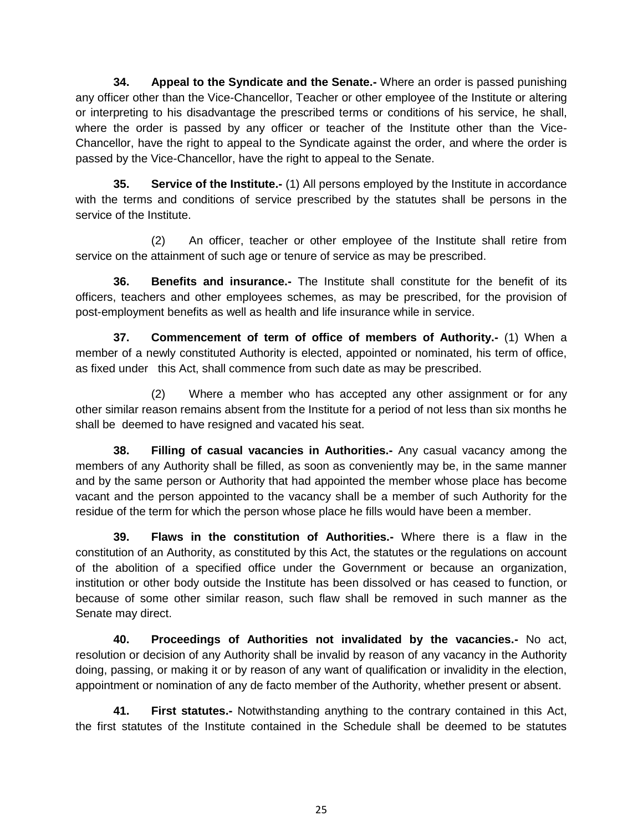**34. Appeal to the Syndicate and the Senate.-** Where an order is passed punishing any officer other than the Vice-Chancellor, Teacher or other employee of the Institute or altering or interpreting to his disadvantage the prescribed terms or conditions of his service, he shall, where the order is passed by any officer or teacher of the Institute other than the Vice-Chancellor, have the right to appeal to the Syndicate against the order, and where the order is passed by the Vice-Chancellor, have the right to appeal to the Senate.

**35. Service of the Institute.-** (1) All persons employed by the Institute in accordance with the terms and conditions of service prescribed by the statutes shall be persons in the service of the Institute.

(2) An officer, teacher or other employee of the Institute shall retire from service on the attainment of such age or tenure of service as may be prescribed.

**36. Benefits and insurance.-** The Institute shall constitute for the benefit of its officers, teachers and other employees schemes, as may be prescribed, for the provision of post-employment benefits as well as health and life insurance while in service.

**37. Commencement of term of office of members of Authority.-** (1) When a member of a newly constituted Authority is elected, appointed or nominated, his term of office, as fixed under this Act, shall commence from such date as may be prescribed.

(2) Where a member who has accepted any other assignment or for any other similar reason remains absent from the Institute for a period of not less than six months he shall be deemed to have resigned and vacated his seat.

**38. Filling of casual vacancies in Authorities.-** Any casual vacancy among the members of any Authority shall be filled, as soon as conveniently may be, in the same manner and by the same person or Authority that had appointed the member whose place has become vacant and the person appointed to the vacancy shall be a member of such Authority for the residue of the term for which the person whose place he fills would have been a member.

**39. Flaws in the constitution of Authorities.-** Where there is a flaw in the constitution of an Authority, as constituted by this Act, the statutes or the regulations on account of the abolition of a specified office under the Government or because an organization, institution or other body outside the Institute has been dissolved or has ceased to function, or because of some other similar reason, such flaw shall be removed in such manner as the Senate may direct.

**40. Proceedings of Authorities not invalidated by the vacancies.-** No act, resolution or decision of any Authority shall be invalid by reason of any vacancy in the Authority doing, passing, or making it or by reason of any want of qualification or invalidity in the election, appointment or nomination of any de facto member of the Authority, whether present or absent.

**41. First statutes.-** Notwithstanding anything to the contrary contained in this Act, the first statutes of the Institute contained in the Schedule shall be deemed to be statutes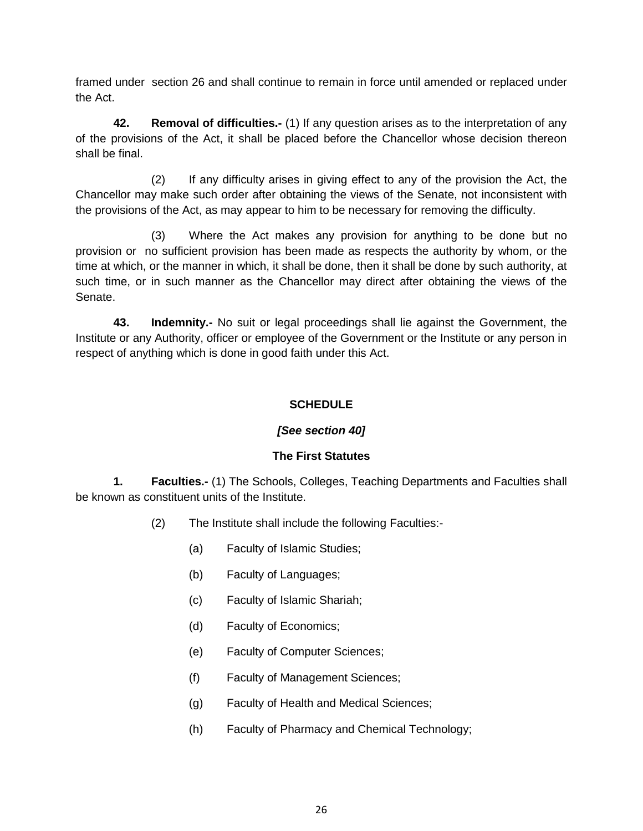framed under section 26 and shall continue to remain in force until amended or replaced under the Act.

**42. Removal of difficulties.-** (1) If any question arises as to the interpretation of any of the provisions of the Act, it shall be placed before the Chancellor whose decision thereon shall be final.

(2) If any difficulty arises in giving effect to any of the provision the Act, the Chancellor may make such order after obtaining the views of the Senate, not inconsistent with the provisions of the Act, as may appear to him to be necessary for removing the difficulty.

(3) Where the Act makes any provision for anything to be done but no provision or no sufficient provision has been made as respects the authority by whom, or the time at which, or the manner in which, it shall be done, then it shall be done by such authority, at such time, or in such manner as the Chancellor may direct after obtaining the views of the Senate.

**43. Indemnity.-** No suit or legal proceedings shall lie against the Government, the Institute or any Authority, officer or employee of the Government or the Institute or any person in respect of anything which is done in good faith under this Act.

## **SCHEDULE**

## *[See section 40]*

## **The First Statutes**

**1. Faculties.-** (1) The Schools, Colleges, Teaching Departments and Faculties shall be known as constituent units of the Institute.

- (2) The Institute shall include the following Faculties:-
	- (a) Faculty of Islamic Studies;
	- (b) Faculty of Languages;
	- (c) Faculty of Islamic Shariah;
	- (d) Faculty of Economics;
	- (e) Faculty of Computer Sciences;
	- (f) Faculty of Management Sciences;
	- (g) Faculty of Health and Medical Sciences;
	- (h) Faculty of Pharmacy and Chemical Technology;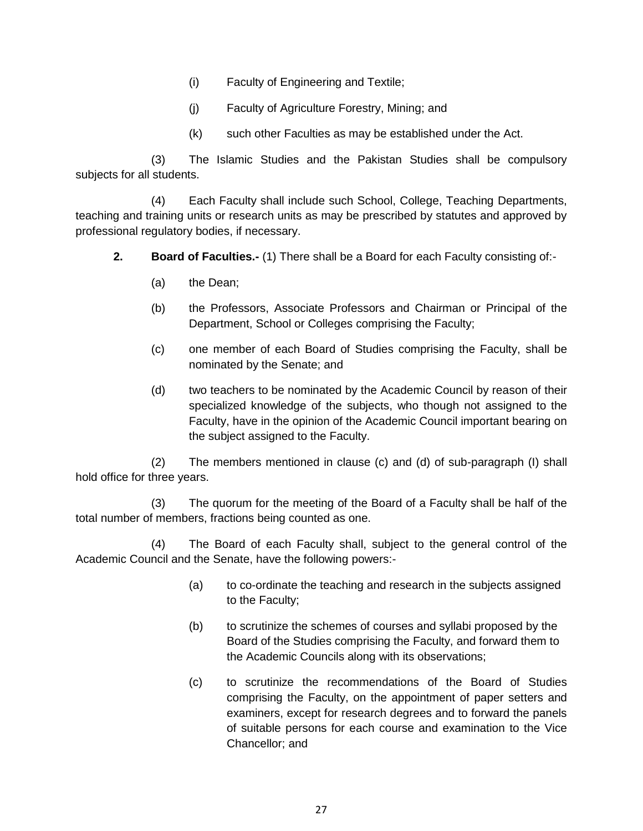- (i) Faculty of Engineering and Textile;
- (j) Faculty of Agriculture Forestry, Mining; and
- (k) such other Faculties as may be established under the Act.

(3) The Islamic Studies and the Pakistan Studies shall be compulsory subjects for all students.

(4) Each Faculty shall include such School, College, Teaching Departments, teaching and training units or research units as may be prescribed by statutes and approved by professional regulatory bodies, if necessary.

- **2. Board of Faculties.-** (1) There shall be a Board for each Faculty consisting of:-
	- (a) the Dean;
	- (b) the Professors, Associate Professors and Chairman or Principal of the Department, School or Colleges comprising the Faculty;
	- (c) one member of each Board of Studies comprising the Faculty, shall be nominated by the Senate; and
	- (d) two teachers to be nominated by the Academic Council by reason of their specialized knowledge of the subjects, who though not assigned to the Faculty, have in the opinion of the Academic Council important bearing on the subject assigned to the Faculty.

(2) The members mentioned in clause (c) and (d) of sub-paragraph (I) shall hold office for three years.

(3) The quorum for the meeting of the Board of a Faculty shall be half of the total number of members, fractions being counted as one.

(4) The Board of each Faculty shall, subject to the general control of the Academic Council and the Senate, have the following powers:-

- (a) to co-ordinate the teaching and research in the subjects assigned to the Faculty;
- (b) to scrutinize the schemes of courses and syllabi proposed by the Board of the Studies comprising the Faculty, and forward them to the Academic Councils along with its observations;
- (c) to scrutinize the recommendations of the Board of Studies comprising the Faculty, on the appointment of paper setters and examiners, except for research degrees and to forward the panels of suitable persons for each course and examination to the Vice Chancellor; and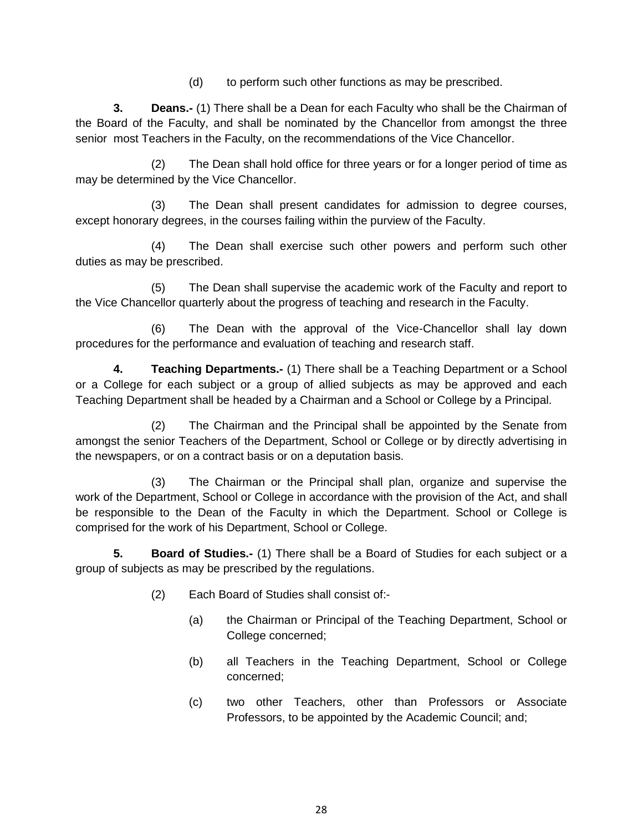(d) to perform such other functions as may be prescribed.

**3. Deans.-** (1) There shall be a Dean for each Faculty who shall be the Chairman of the Board of the Faculty, and shall be nominated by the Chancellor from amongst the three senior most Teachers in the Faculty, on the recommendations of the Vice Chancellor.

(2) The Dean shall hold office for three years or for a longer period of time as may be determined by the Vice Chancellor.

(3) The Dean shall present candidates for admission to degree courses, except honorary degrees, in the courses failing within the purview of the Faculty.

(4) The Dean shall exercise such other powers and perform such other duties as may be prescribed.

(5) The Dean shall supervise the academic work of the Faculty and report to the Vice Chancellor quarterly about the progress of teaching and research in the Faculty.

(6) The Dean with the approval of the Vice-Chancellor shall lay down procedures for the performance and evaluation of teaching and research staff.

**4. Teaching Departments.-** (1) There shall be a Teaching Department or a School or a College for each subject or a group of allied subjects as may be approved and each Teaching Department shall be headed by a Chairman and a School or College by a Principal.

(2) The Chairman and the Principal shall be appointed by the Senate from amongst the senior Teachers of the Department, School or College or by directly advertising in the newspapers, or on a contract basis or on a deputation basis.

(3) The Chairman or the Principal shall plan, organize and supervise the work of the Department, School or College in accordance with the provision of the Act, and shall be responsible to the Dean of the Faculty in which the Department. School or College is comprised for the work of his Department, School or College.

**5. Board of Studies.-** (1) There shall be a Board of Studies for each subject or a group of subjects as may be prescribed by the regulations.

- (2) Each Board of Studies shall consist of:-
	- (a) the Chairman or Principal of the Teaching Department, School or College concerned;
	- (b) all Teachers in the Teaching Department, School or College concerned;
	- (c) two other Teachers, other than Professors or Associate Professors, to be appointed by the Academic Council; and;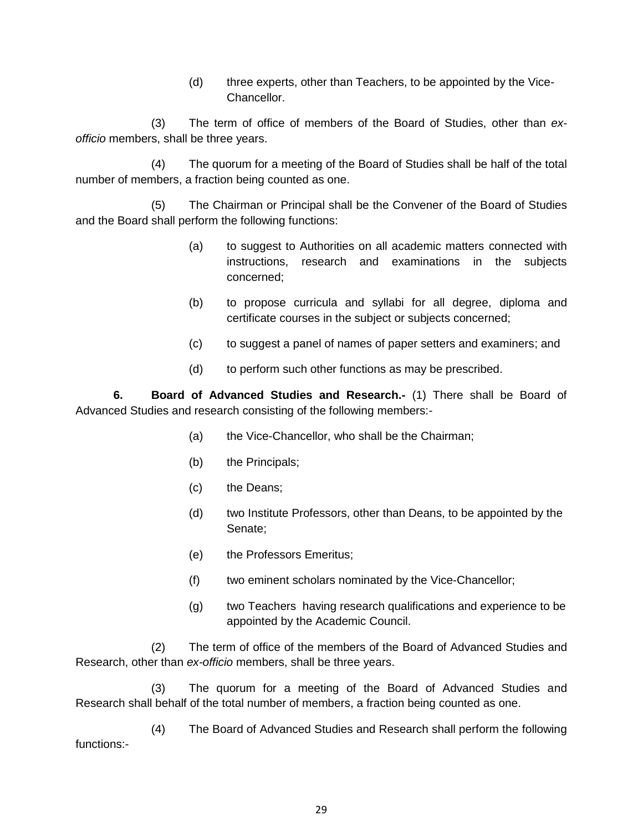(d) three experts, other than Teachers, to be appointed by the Vice-Chancellor.

(3) The term of office of members of the Board of Studies, other than *exofficio* members, shall be three years.

(4) The quorum for a meeting of the Board of Studies shall be half of the total number of members, a fraction being counted as one.

(5) The Chairman or Principal shall be the Convener of the Board of Studies and the Board shall perform the following functions:

- (a) to suggest to Authorities on all academic matters connected with instructions, research and examinations in the subjects concerned;
- (b) to propose curricula and syllabi for all degree, diploma and certificate courses in the subject or subjects concerned;
- (c) to suggest a panel of names of paper setters and examiners; and
- (d) to perform such other functions as may be prescribed.

**6. Board of Advanced Studies and Research.-** (1) There shall be Board of Advanced Studies and research consisting of the following members:-

- (a) the Vice-Chancellor, who shall be the Chairman;
- (b) the Principals;
- (c) the Deans;
- (d) two Institute Professors, other than Deans, to be appointed by the Senate;
- (e) the Professors Emeritus;
- (f) two eminent scholars nominated by the Vice-Chancellor;
- (g) two Teachers having research qualifications and experience to be appointed by the Academic Council.

(2) The term of office of the members of the Board of Advanced Studies and Research, other than *ex-officio* members, shall be three years.

(3) The quorum for a meeting of the Board of Advanced Studies and Research shall behalf of the total number of members, a fraction being counted as one.

(4) The Board of Advanced Studies and Research shall perform the following functions:-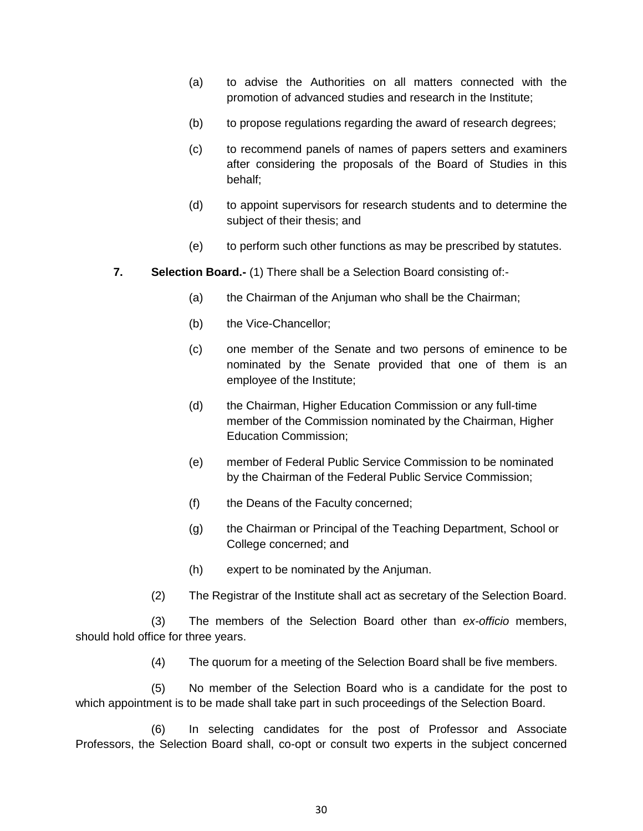- (a) to advise the Authorities on all matters connected with the promotion of advanced studies and research in the Institute;
- (b) to propose regulations regarding the award of research degrees;
- (c) to recommend panels of names of papers setters and examiners after considering the proposals of the Board of Studies in this behalf;
- (d) to appoint supervisors for research students and to determine the subject of their thesis; and
- (e) to perform such other functions as may be prescribed by statutes.
- **7. Selection Board.-** (1) There shall be a Selection Board consisting of:-
	- (a) the Chairman of the Anjuman who shall be the Chairman;
	- (b) the Vice-Chancellor;
	- (c) one member of the Senate and two persons of eminence to be nominated by the Senate provided that one of them is an employee of the Institute;
	- (d) the Chairman, Higher Education Commission or any full-time member of the Commission nominated by the Chairman, Higher Education Commission;
	- (e) member of Federal Public Service Commission to be nominated by the Chairman of the Federal Public Service Commission;
	- (f) the Deans of the Faculty concerned;
	- (g) the Chairman or Principal of the Teaching Department, School or College concerned; and
	- (h) expert to be nominated by the Anjuman.
	- (2) The Registrar of the Institute shall act as secretary of the Selection Board.

(3) The members of the Selection Board other than *ex-officio* members, should hold office for three years.

(4) The quorum for a meeting of the Selection Board shall be five members.

(5) No member of the Selection Board who is a candidate for the post to which appointment is to be made shall take part in such proceedings of the Selection Board.

(6) In selecting candidates for the post of Professor and Associate Professors, the Selection Board shall, co-opt or consult two experts in the subject concerned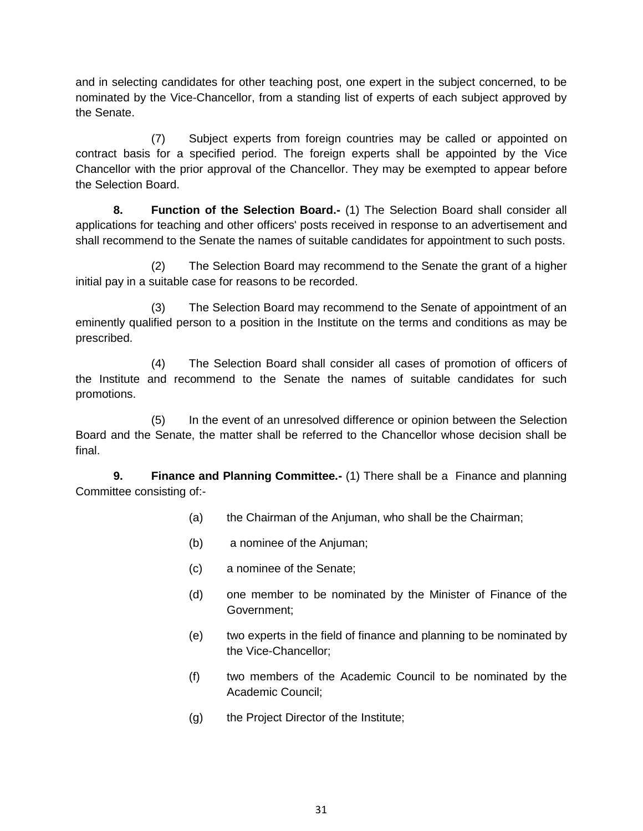and in selecting candidates for other teaching post, one expert in the subject concerned, to be nominated by the Vice-Chancellor, from a standing list of experts of each subject approved by the Senate.

(7) Subject experts from foreign countries may be called or appointed on contract basis for a specified period. The foreign experts shall be appointed by the Vice Chancellor with the prior approval of the Chancellor. They may be exempted to appear before the Selection Board.

**8. Function of the Selection Board.-** (1) The Selection Board shall consider all applications for teaching and other officers' posts received in response to an advertisement and shall recommend to the Senate the names of suitable candidates for appointment to such posts.

(2) The Selection Board may recommend to the Senate the grant of a higher initial pay in a suitable case for reasons to be recorded.

(3) The Selection Board may recommend to the Senate of appointment of an eminently qualified person to a position in the Institute on the terms and conditions as may be prescribed.

(4) The Selection Board shall consider all cases of promotion of officers of the Institute and recommend to the Senate the names of suitable candidates for such promotions.

(5) In the event of an unresolved difference or opinion between the Selection Board and the Senate, the matter shall be referred to the Chancellor whose decision shall be final.

**9. Finance and Planning Committee.-** (1) There shall be a Finance and planning Committee consisting of:-

- (a) the Chairman of the Anjuman, who shall be the Chairman;
- (b) a nominee of the Anjuman;
- (c) a nominee of the Senate;
- (d) one member to be nominated by the Minister of Finance of the Government;
- (e) two experts in the field of finance and planning to be nominated by the Vice-Chancellor;
- (f) two members of the Academic Council to be nominated by the Academic Council;
- (g) the Project Director of the Institute;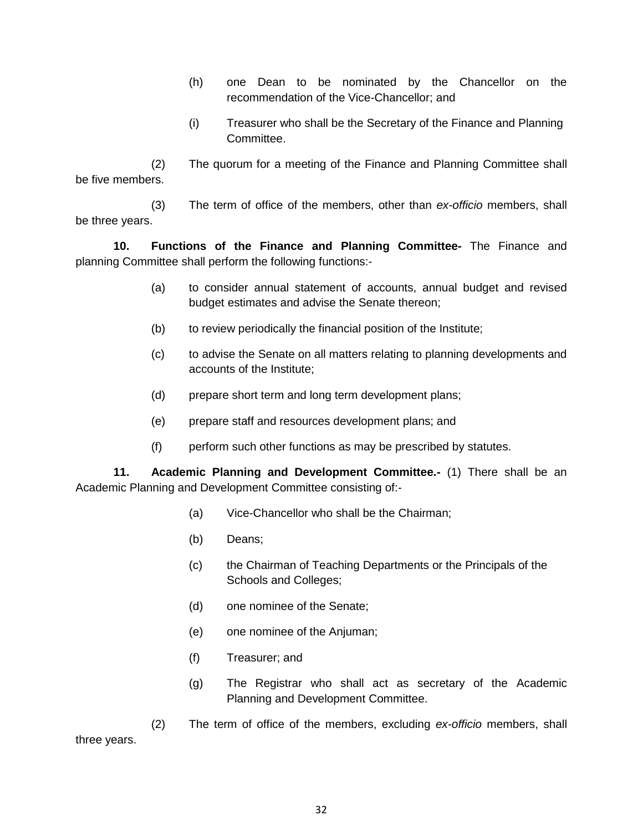- (h) one Dean to be nominated by the Chancellor on the recommendation of the Vice-Chancellor; and
- (i) Treasurer who shall be the Secretary of the Finance and Planning Committee.

(2) The quorum for a meeting of the Finance and Planning Committee shall be five members.

(3) The term of office of the members, other than *ex-officio* members, shall be three years.

**10. Functions of the Finance and Planning Committee-** The Finance and planning Committee shall perform the following functions:-

- (a) to consider annual statement of accounts, annual budget and revised budget estimates and advise the Senate thereon;
- (b) to review periodically the financial position of the Institute;
- (c) to advise the Senate on all matters relating to planning developments and accounts of the Institute;
- (d) prepare short term and long term development plans;
- (e) prepare staff and resources development plans; and
- (f) perform such other functions as may be prescribed by statutes.

**11. Academic Planning and Development Committee.-** (1) There shall be an Academic Planning and Development Committee consisting of:-

- (a) Vice-Chancellor who shall be the Chairman;
- (b) Deans;
- (c) the Chairman of Teaching Departments or the Principals of the Schools and Colleges;
- (d) one nominee of the Senate;
- (e) one nominee of the Anjuman;
- (f) Treasurer; and
- (g) The Registrar who shall act as secretary of the Academic Planning and Development Committee.

(2) The term of office of the members, excluding *ex-officio* members, shall three years.